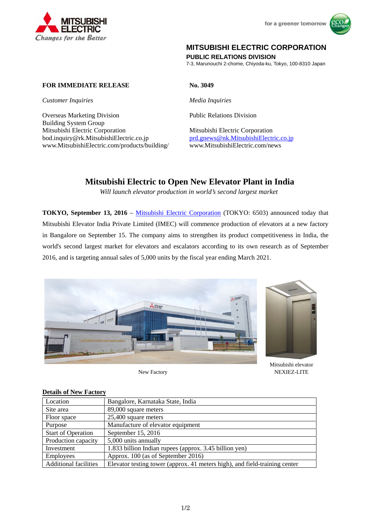



## **MITSUBISHI ELECTRIC CORPORATION**

**PUBLIC RELATIONS DIVISION** 

7-3, Marunouchi 2-chome, Chiyoda-ku, Tokyo, 100-8310 Japan

### **FOR IMMEDIATE RELEASE No. 3049**

*Customer Inquiries Media Inquiries* 

Overseas Marketing Division Public Relations Division Building System Group Mitsubishi Electric Corporation Mitsubishi Electric Corporation bod.inquiry@rk.MitsubishiElectric.co.jp <br>www.MitsubishiElectric.com/products/building/ www.MitsubishiElectric.com/news www.MitsubishiElectric.com/products/building/

# **Mitsubishi Electric to Open New Elevator Plant in India**

*Will launch elevator production in world's second largest market* 

**TOKYO, September 13, 2016** – Mitsubishi Electric Corporation (TOKYO: 6503) announced today that Mitsubishi Elevator India Private Limited (IMEC) will commence production of elevators at a new factory in Bangalore on September 15. The company aims to strengthen its product competitiveness in India, the world's second largest market for elevators and escalators according to its own research as of September 2016, and is targeting annual sales of 5,000 units by the fiscal year ending March 2021.



New Factory



Mitsubishi elevator NEXIEZ-LITE

#### **Details of New Factory**

| Location                     | Bangalore, Karnataka State, India                                          |
|------------------------------|----------------------------------------------------------------------------|
| Site area                    | 89,000 square meters                                                       |
| Floor space                  | 25,400 square meters                                                       |
| Purpose                      | Manufacture of elevator equipment                                          |
| <b>Start of Operation</b>    | September 15, 2016                                                         |
| Production capacity          | 5,000 units annually                                                       |
| Investment                   | 1.833 billion Indian rupees (approx. 3.45 billion yen)                     |
| <b>Employees</b>             | Approx. 100 (as of September 2016)                                         |
| <b>Additional facilities</b> | Elevator testing tower (approx. 41 meters high), and field-training center |